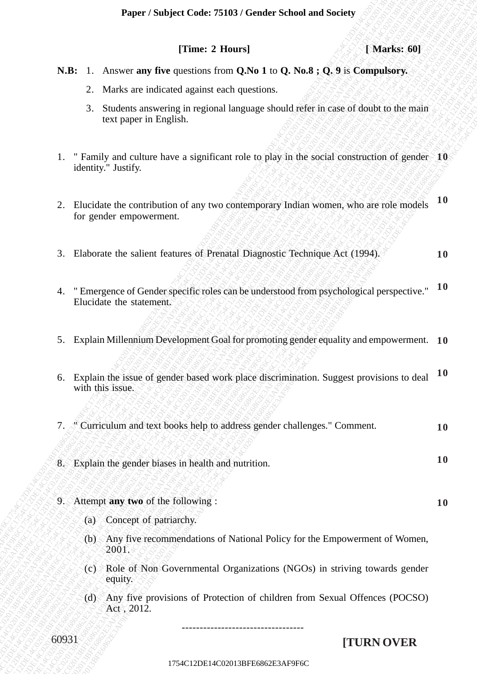#### **[Time: 2 Hours]** *l* **<b>i** *s s s f* **<b>Marks: 60**]

- **N.B:** 1. Answer **any five** questions from **Q.No 1** to **Q. No.8 ; Q. 9** is **Compulsory.**
	- 2. Marks are indicated against each questions.
	- 3. Students answering in regional language should refer in case of doubt to the main text paper in English.
- 1766: 1. Answer any five questions from QNo 1 to Q. No 8 ( $Q$ 9 is Compulsory,<br>
2. Marks are instanted optimal engines each question.<br>
3. Students answering in regional interaspears chemistric interaspear of contribution o **1764** C121 (The case of Free Constrainer from QAS at to Q. No.8 3 Q. 9 is Computerly 2.<br>
2. Marketa is indicated against each angle in equal of the specific construction of gradier at the set of the set of the set of the **17962 C1302 C146C18**<br>
1764C14 Consequence of a consequence of a consequence of a consequence of a consequence of a consequence of a state and the state of the state of the state of the state of the state of the state **1764C12 C**<br>
1764C12 2 Murk can include against once up to 0. No.8 (0.9 is Compulsory,<br>
2. Murk can include a movem in regional language should release in case of double order in region<br>
1. The paper in Frights.<br>
1. The 1754C12DE14C02013BFE6862E3AF9F6C1754C12DE14C02013BFE6862E3AF9F6C1754C12DE14C02013BFE6862E3AF9F6C1754C12DE14C02013BFE6862E3AF9F6C1754C12DE14C02013BFE6862E3AF9F6C1754C12DE14C02013BFE6862E3AF9F6C 1754C12DE14C02013BFE6862E3AF9F6C1754C12DE14C02013BFE6862E3AF9F6C1754C12DE14C02013BFE6862E3AF9F6C1754C12DE14C02013BFE6862E3AF9F6C1754C12DE14C02013BFE6862E3AF9F6C1754C12DE14C02013BFE6862E3AF9F6C Paper / Senhert Code: 7540.V Geoder School and Society<br>
17542: 1862<br>
1876: 1. Anavec any the quotiens from GNO 11:0 O. No.8 1 O. 9 is Compellery,<br>
2. Matti are individual against each ground.<br>
2. Suicide the contribution **1764C12 FEBFerF12013C12DE14C02013BFE6862E3AF9F6C174C0213BFE6862E3AF9F6C174C11**<br> **1714 C** 3. Moskva are initiated a generate a guarantees.<br>
1815 Computers,<br>
1815 Computers a gradient such a gradient such a gradient su **Proper / Subject Code 25103 / Greater School and Society [That's 60]**<br>
17 African and The questions home Q.No 1 to Q.No 1 x, Q.No 2 (S.P) is Computers,<br>
2. Marks are interested questions to Questions above in the state i **Proper / Subject Code 25103 / Greater School and Society [That's 60]**<br>
17 African and The questions home Q.No 1 to Q.No 1 x, Q.No 2 (S.P) is Computers,<br>
2. Marks are interested questions to Questions above in the state i **Proper / Subject Code 25103 / Greater School and Society [That's 60]**<br>
17 African and The questions home Q.No 1 to Q.No 1 x, Q.No 2 (S.P) is Computers,<br>
2. Marks are interested questions to Questions above in the state i **286621201421** Conder School and Society (The 2 House 2 Hours) (The 2 House 2 Hours) (The 2 November 2 Marks: 69)<br>
2 Marks: metaland against each QNe Lto QNe St, G, 914 Compulsory,<br>
2 Marks: metaland against each question **219647 Stubject Code: 7540**3 / Gendre School and Society (Murks: 60)<br>
1764. 1. A reason and The questions lines QA6 1 to Q. No.3 : Q. 9 is Computeers.<br>
2. Morks are indicated agents and questions.<br>
3. Studient strategies **1246C** 27510 (166 27510 / General Solonial Society (166 2.30 )<br>
1754c686 (166 2.36 AF4 a serialization and operators.<br>
2. Marks are indicate a QA6 1 to Q. No.8 1 Q. We Computes control 2013<br>
2. Such as a serial state par 1744er /Statiget Code: 75103/ Gender School and Society<br>
1764c6-60]<br>
1764c6-60]<br>
18. BFF computerons the quantitation of Article Code is a single<br>
2. B More in relatively an acquisite during term of the prior (i.e. of Cod 1. " Family and culture have a significant role to play in the social construction of gender **10** identity." Justify.
- **1744C12** Framer 28 Hotser 734C3 / Gentler School and Society<br>
1754cks: 601<br>
18. 1. A reason complete the street of the contribution of the control of the control of the street of the street of the street of the street of France / Studyet Code: 7540AF (Conter School and Society [Trime 2 Hours] [Trime 2 Hours] (Marks according content Questions.<br>
2. Marks are independent exact a questions.<br>
3. Suddens are included against exact questions.<br> **Proper / Studyier Cooler 75(0.1)** Conder 85(0.4) **CF**<br> **17164**: **2.** Marks as indetermination and approximate the space of a studyier of the space of a studyier of the space indetermination and approximate the space inde **Paper /Subject Code: 75403 / Gender School and Society**<br> **17.10.** 1. Anavor any five questions from QAN0 1 to Q.No.8 (O.3 is **Computery**,<br>
2. Matks as indicated guint cond questions.<br>
3. Suedents measuring in mejorod tem **Fance: 75mbplere Code: 75103** Centures School and Society<br> **1764c6**<br>
1816 1. Answer any live questions from O.No 1 to O.No 8 (Q, 9) is Computency,<br>
2. Morina se indicated gains each questions.<br>
3. Stochase answering in e 2. Elucidate the contribution of any two contemporary Indian women, who are role models for gender empowerment. **10**
	- 3. Elaborate the salient features of Prenatal Diagnostic Technique Act (1994). **10**
	- 4. " Emergence of Gender specific roles can be understood from psychological perspective." Elucidate the statement. **10**
	- 5. Explain Millennium Development Goal for promoting gender equality and empowerment. **10**
	- 6. Explain the issue of gender based work place discrimination. Suggest provisions to deal with this issue. **10**
	- 7. " Curriculum and text books help to address gender challenges." Comment.
	- 8. Explain the gender biases in health and nutrition.
	- 9. Attempt **any two** of the following :
		- (a) Concept of patriarchy.
		- (b) Any five recommendations of National Policy for the Empowerment of Women, 2001.
		- (c) Role of Non Governmental Organizations (NGOs) in striving towards gender equity.
		- (d) Any five provisions of Protection of children from Sexual Offences (POCSO) Act<sub>2012</sub>.

**[TURN OVER**

**10**

**10**

**10**

1754C12DE14C02013BFE6862E3AF9F6C

----------------------------------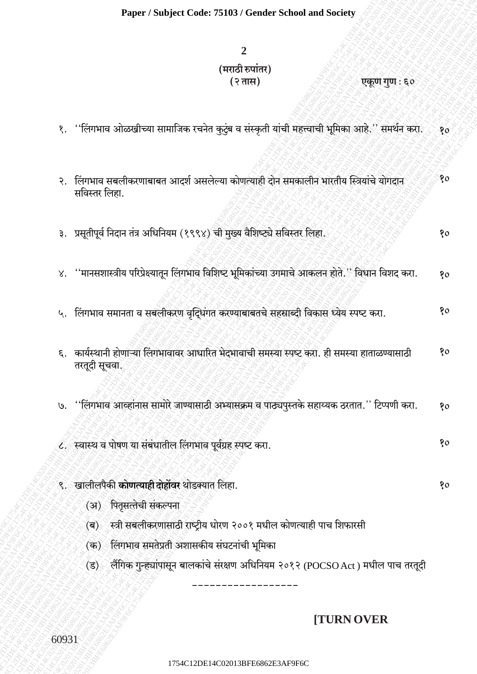# $\overline{2}$ (मराठी रुपांतर) (२ तास)

#### एकूण गुण : ६०

80

80

80

- १. ''लिंगभाव ओळखीच्या सामाजिक रचनेत कुटुंब व संस्कृती यांची महत्त्वाची भूमिका आहे.'' समर्थन करा.  $20$
- २. लिंगभाव सबलीकरणाबाबत आदर्श असलेल्या कोणत्याही दोन समकालीन भारतीय स्त्रियांचे योगदान सविस्तर लिहा.
- ३. प्रसूतीपूर्व निदान तंत्र अधिनियम (१९९४) ची मुख्य वैशिष्ट्ये सविस्तर लिहा. 80
- ४. ''मानसशास्त्रीय परिप्रेक्ष्यातून लिंगभाव विशिष्ट भूमिकांच्या उगमाचे आकलन होते.'' विधान विशद करा. 80
- 80 ५. लिंगभाव समानता व सबलीकरण वृद्धिगत करण्याबाबतचे सहस्राब्दी विकास ध्येय स्पष्ट करा.
- ६. कार्यस्थानी होणाऱ्या लिंगभावावर आधारित भेदभावाची समस्या स्पष्ट करा. ही समस्या हाताळण्यासाठी 80 तरतूदी सूचवा.
- ''लिंगभाव आव्हांनास सामोरे जाण्यासाठी अभ्यासक्रम व पाठ्यपुस्तके सहाय्यक ठरतात.'' टिप्पणी करा.  $\Theta$ . 80
- ८. स्वास्थ व पोषण या संबंधातील लिंगभाव पूर्वग्रह स्पष्ट करा.
- ९. खालीलपैकी **कोणत्याही दोहोंवर** थोडक्यात लिहा.
	- (अ) पितुसत्तेची संकल्पना
	- स्त्री सबलीकरणासाठी राष्ट्रीय धोरण २००१ मधील कोणत्याही पाच शिफारसी  $\mathcal{F}(\mathbf{p})$
	- (क) लिंगभाव समतेप्रती अशासकीय संघटनांची भूमिका
	- (ड) लैंगिक गुन्ह्यांपासून बालकांचे संरक्षण अधिनियम २०१२ (POCSO Act ) मधील पाच तरतूदी

## **TURN OVER**

60931

1754C12DE14C02013BFE6862E3AF9F6C